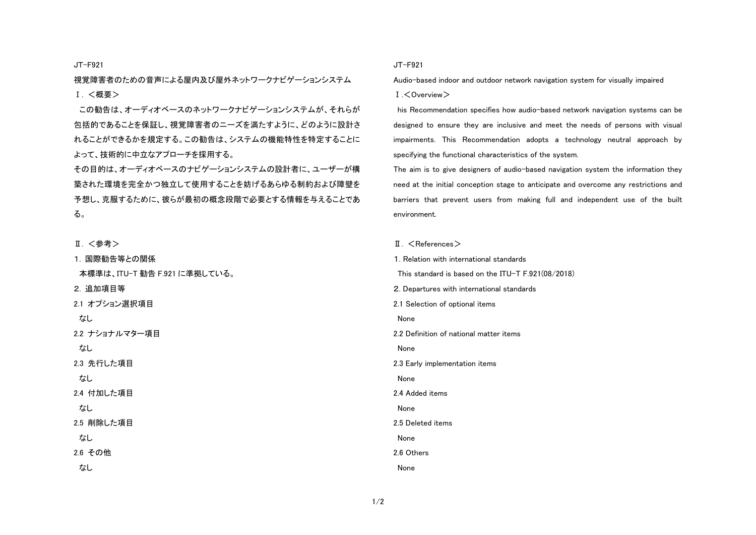JT-F921

視覚障害者のための音声による屋内及び屋外ネットワークナビゲーションシステム Ⅰ. <概要>

この勧告は、オーディオベースのネットワークナビゲーションシステムが、それらが 包括的であることを保証し、視覚障害者のニーズを満たすように、どのように設計さ れることができるかを規定する。この勧告は、システムの機能特性を特定することに よって、技術的に中立なアプローチを採用する。

その目的は、オーディオベースのナビゲーションシステムの設計者に、ユーザーが構 築された環境を完全かつ独立して使用することを妨げるあらゆる制約および障壁を 予想し、克服するために、彼らが最初の概念段階で必要とする情報を与えることであ る。

Ⅱ. <参考>

1. 国際勧告等との関係

本標準は、ITU-T 勧告 F.921 に準拠している。

2. 追加項目等

2.1 オプション選択項目

なし

2.2 ナショナルマター項目

なし

2.3 先行した項目

なし

2.4 付加した項目

なし

2.5 削除した項目

なし

2.6 その他

なし

## JT-F921

Audio-based indoor and outdoor network navigation system for visually impaired

1 < Overview >

his Recommendation specifies how audio-based network navigation systems can be designed to ensure they are inclusive and meet the needs of persons with visual impairments. This Recommendation adopts a technology neutral approach by specifying the functional characteristics of the system.

The aim is to give designers of audio-based navigation system the information they need at the initial conception stage to anticipate and overcome any restrictions and barriers that prevent users from making full and independent use of the built environment.

## $II. <$ References $>$

1. Relation with international standards This standard is based on the ITU-T F.921(08/2018) 2. Departures with international standards 2.1 Selection of optional items None 2.2 Definition of national matter items None 2.3 Early implementation items None 2.4 Added items None 2.5 Deleted items None 2.6 Others None